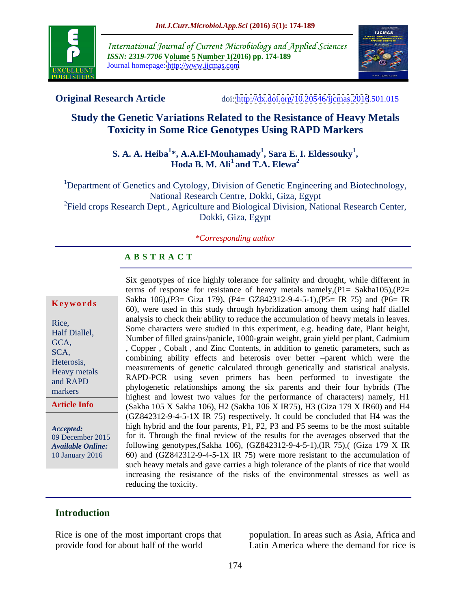

International Journal of Current Microbiology and Applied Sciences *ISSN: 2319-7706* **Volume 5 Number 1(2016) pp. 174-189** Journal homepage: <http://www.ijcmas.com>



**Original Research Article** doi:<http://dx.doi.org/10.20546/ijcmas.2016>.501.015

# **Study the Genetic Variations Related to the Resistance of Heavy Metals Toxicity in Some Rice Genotypes Using RAPD Markers**

## **S. A. A. Heiba<sup>1</sup>\*, A.A.El-Mouhamady<sup>1</sup>, Sara E. I. Eldessouky<sup>1</sup>,<br><b>Hoda B. M. Ali<sup>1</sup>** and T.A. Elewa<sup>2</sup> **and T.A. Elewa<sup>2</sup>**

<sup>1</sup>Department of Genetics and Cytology, Division of Genetic Engineering and Biotechnology, National Research Centre, Dokki, Giza, Egypt <sup>2</sup>Field crops Research Dept., Agriculture and Biological Division, National Research Center,

Dokki, Giza, Egypt

### *\*Corresponding author*

### **A B S T R A C T**

**Article Info**

Six genotypes of rice highly tolerance for salinity and drought, while different in terms of response for resistance of heavy metals namely,  $(P1 = Sakha105)$ ,  $(P2=$ Sakha 106),(P3= Giza 179), (P4= GZ842312-9-4-5-1),(P5= IR 75) and (P6= IR **Keywords** Sakila 100,  $kT = 0$  is  $kT = 0$ ,  $kT = 0$  in this study through hybridization among them using half diallel analysis to check their ability to reduce the accumulation of heavy metals in leaves. Rice, Some characters were studied in this experiment, e.g. heading date, Plant height, Half Diallel,<br>CCA Number of filled grains/panicle, 1000-grain weight, grain yield per plant, Cadmium GCA,<br>SCA, Copper, Cobalt, and Zinc Contents, in addition to genetic parameters, such as combining ability effects and heterosis over better -parent which were the Heterosis,<br>
measurements of genetic calculated through genetically and statistical analysis.<br>
Heavy metals RAPD-PCR using seven primers has been performed to investigate the and RAPD<br>markers phylogenetic relationships among the six parents and their four hybrids (The highest and lowest two values for the performance of characters) namely, H1 (Sakha 105 X Sakha 106), H2 (Sakha 106 X IR75), H3 (Giza 179 X IR60) and H4 (GZ842312-9-4-5-1X IR 75) respectively. It could be concluded that H4 was the high hybrid and the four parents, P1, P2, P3 and P5 seems to be the most suitable *Accepted:*  09 December 2015 for it. Through the final review of the results for the averages observed that the following genotypes,(Sakha 106), (GZ842312-9-4-5-1),(IR 75),( (Giza 179 X IR *Available Online:* 60) and (GZ842312-9-4-5-1X IR 75) were more resistant to the accumulation of 10 January 2016 such heavy metals and gave carries a high tolerance of the plants of rice that would increasing the resistance of the risks of the environmental stresses as well as reducing the toxicity. SCA, copper covair, and zinc contents, in addition to generic parameters, such as markers  $\mu_1$ ,  $\mu_2$  and  $\mu_3$  and  $\mu_4$  are set  $\mu_5$  and  $\mu_6$  and  $\mu_7$  and  $\mu_8$  and  $\mu_9$  and  $\mu_9$  and  $\mu_1$ 

## **Introduction**

Rice is one of the most important crops that population. In areas such as Asia, Africa and provide food for about half of the world

Latin America where the demand for rice is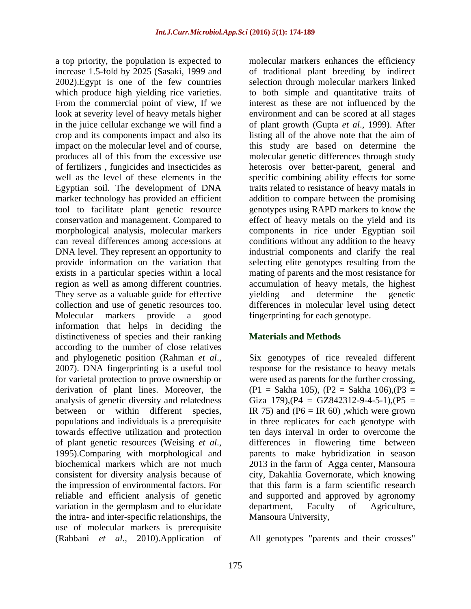a top priority, the population is expected to increase 1.5-fold by 2025 (Sasaki, 1999 and of traditional plant breeding by indirect 2002).Egypt is one of the few countries selection through molecular markers linked which produce high yielding rice varieties. to both simple and quantitative traits of From the commercial point of view, If we interest as these are not influenced by the look at severity level of heavy metals higher environment and can be scored at all stages in the juice cellular exchange we will find a of plant growth (Gupta *et al*., 1999). After crop and its components impact and also its listing all of the above note that the aim of impact on the molecular level and of course, this study are based on determine the produces all of this from the excessive use molecular genetic differences through study of fertilizers , fungicides and insecticides as heterosis over better-parent, general and well as the level of these elements in the specific combining ability effects for some Egyptian soil. The development of DNA traits related to resistance of heavy matals in marker technology has provided an efficient tool to facilitate plant genetic resource genotypes using RAPD markers to know the conservation and management. Compared to effect of heavy metals on the yield and its morphological analysis, molecular markers components in rice under Egyptian soil can reveal differences among accessions at conditions without any addition to the heavy DNA level. They represent an opportunity to industrial components and clarify the real provide information on the variation that selecting elite genotypes resulting from the exists in a particular species within a local mating of parents and the most resistance for region as well as among different countries. accumulation of heavy metals, the highest They serve as a valuable guide for effective vielding and determine the genetic collection and use of genetic resources too. differences in molecular level using detect Molecular markers provide a good fingerprinting for each genotype. information that helps in deciding the distinctiveness of species and their ranking according to the number of close relatives and phylogenetic position (Rahman *et al.*,<br>2007). DNA fingerprinting is a useful tool response for the resistance to heavy metals for varietal protection to prove ownership or were used as parents for the further crossing, derivation of plant lines. Moreover, the  $(P1 = Sakha 105)$ ,  $(P2 = Sakha 106)$ ,  $(P3 =$ analysis of genetic diversity and relatedness Giza  $179$ ),  $(P4 = GZ842312-9-4-5-1)$ ,  $(P5 =$ between or within different species, IR 75) and  $(P6 = IR 60)$ , which were grown populations and individuals is a prerequisite in three replicates for each genotype with towards effective utilization and protection ten days interval in order to overcome the of plant genetic resources (Weising *et al.*, differences in flowering time between 1995).Comparing with morphological and parents to make hybridization in season biochemical markers which are not much 2013 in the farm of Agga center, Mansoura consistent for diversity analysis because of the impression of environmental factors. For reliable and efficient analysis of genetic and supported and approved by agronomy variation in the germplasm and to elucidate department, Faculty of Agriculture, the intra- and inter-specific relationships, the use of molecular markers is prerequisite

molecular markers enhances the efficiency addition to compare between the promising yielding and determine the genetic

### **Materials and Methods**

Six genotypes of rice revealed different response for the resistance to heavy metals differences in flowering time between parents to make hybridization in season city, Dakahlia Governorate, which knowing that this farm is a farm scientific research department, Faculty of Agriculture, Mansoura University,

(Rabbani *et al*., 2010).Application of All genotypes "parents and their crosses"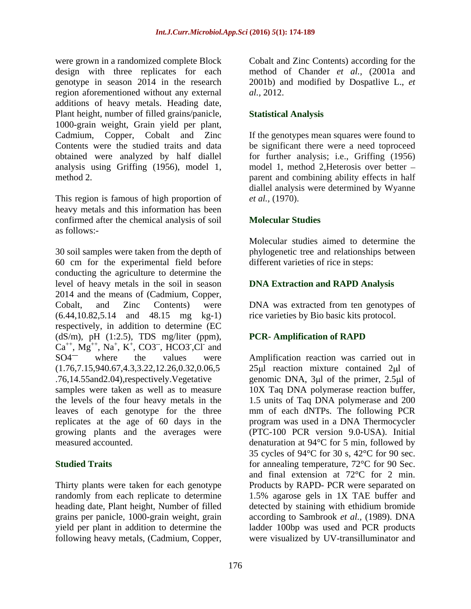were grown in a randomized complete Block Cobalt and Zinc Contents) according for the design with three replicates for each region aforementioned without any external *al.*, 2012. additions of heavy metals. Heading date, Plant height, number of filled grains/panicle, 1000-grain weight, Grain yield per plant, analysis using Griffing (1956), model 1,

This region is famous of high proportion of *et al.*, (1970). heavy metals and this information has been confirmed after the chemical analysis of soil as follows:-

30 soil samples were taken from the depth of 60 cm for the experimental field before conducting the agriculture to determine the level of heavy metals in the soil in season 2014 and the means of (Cadmium, Copper, Cobalt, and Zinc Contents) were DNA was extracted from ten genotypes of (6.44,10.82,5.14 and 48.15 mg kg-1) rice varieties by Bio basic kits protocol. respectively, in addition to determine (EC  $(dS/m)$ , pH  $(1:2.5)$ , TDS mg/liter (ppm), PCR-Amplification of RAPD  $Ca^{++}$ ,  $Mg^{++}$ ,  $Na^+$ ,  $K^+$ ,  $CO3^-$ ,  $HCO3^-$ ,  $Cl^-$  and  $,K^+$ , CO3<sup>--</sup>, HCO3<sup>-</sup>,Cl<sup>-</sup> and  $+ CO<sup>2</sup>$  HCO<sup>2</sup> Cl<sub>i</sub> and , CO3<sup>--</sup>, HCO3<sup>-</sup>, Cl<sup>-</sup> and , HCO3<sup>-</sup>,Cl<sup>-</sup> and  $\overline{C}$  and  $\overline{C}$  and  $\overline{C}$  and  $\overline{C}$  and  $\overline{C}$  and  $\overline{C}$  and  $\overline{C}$  and  $\overline{C}$  and  $\overline{C}$  and  $\overline{C}$  and  $\overline{C}$  and  $\overline{C}$  and  $\overline{C}$  and  $\overline{C}$  and  $\overline{C}$  and  $\overline{C}$  and  $\overline{C}$  and ,Cl- and

replicates at the age of 60 days in the growing plants and the averages were<br>measured accounted.

heading date, Plant height, Number of filled grains per panicle, 1000-grain weight, grain

genotype in season 2014 in the research 2001b) and modified by Dospatlive L., *et* method of Chander *et al.*, (2001a and *al.,* 2012.

# **Statistical Analysis**

Cadmium, Copper, Cobalt and Zinc If the genotypes mean squares were found to Contents were the studied traits and data be significant there were a need toproceed obtained were analyzed by half diallel for further analysis; i.e., Griffing (1956) method 2. parent and combining ability effects in half model 1, method 2,Heterosis over better diallel analysis were determined by Wyanne *et al.,* (1970).

## **Molecular Studies**

Molecular studies aimed to determine the phylogenetic tree and relationships between different varieties of rice in steps:

# **DNA Extraction and RAPD Analysis**

# **PCR- Amplification of RAPD**

SO4<sup>—</sup> where the values were Amplification reaction was carried out in (1.76,7.15,940.67,4.3,3.22,12.26,0.32,0.06,5 25 l reaction mixture contained 2 l of .76,14.55and2.04),respectively. Vegetative genomic DNA, 3µl of the primer, 2.5µl of samples were taken as well as to measure 10X Taq DNA polymerase reaction buffer, the levels of the four heavy metals in the 1.5 units of Taq DNA polymerase and 200 leaves of each genotype for the three mm of each dNTPs. The following PCR measured accounted. denaturation at 94°C for 5 min, followed by **Studied Traits for annealing temperature, 72°C for 90 Sec.** *n* Thirty plants were taken for each genotype Products by RAPD- PCR were separated on randomly from each replicate to determine 1.5% agarose gels in 1X TAE buffer and yield per plant in addition to determine the ladder 100bp was used and PCR products were grown in a mandomized and the metalloon of the contents) according for the groups and mandomized per section and the metalloon of the metalloon of the metalloon and COD and metalloon and  $\alpha$ , 2010 and metalloon and program was used in a DNA Thermocycler (PTC-100 PCR version 9.0-USA). Initial 35 cycles of 94°C for 30 s, 42°C for 90 sec. and final extension at 72°C for 2 min. detected by staining with ethidium bromide according to Sambrook *et al.,* (1989). DNA were visualized by UV-transilluminator and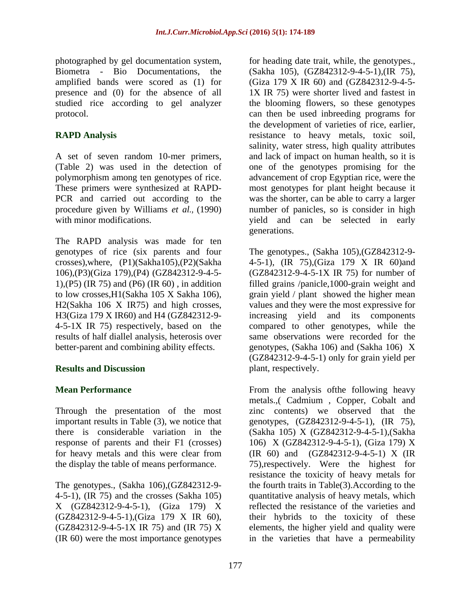photographed by gel documentation system, for heading date trait, while, the genotypes.,

The RAPD analysis was made for ten H3(Giza 179 X IR60) and H4 (GZ842312-9 results of half diallel analysis, heterosis over

Through the presentation of the most

4-5-1), (IR 75) and the crosses (Sakha 105) (IR 60) were the most importance genotypes in the varieties that have a permeability

Biometra - Bio Documentations, the (Sakha 105), (GZ842312-9-4-5-1),(IR 75), amplified bands were scored as (1) for (Giza 179 X IR 60) and (GZ842312-9-4-5 presence and (0) for the absence of all 1X IR 75) were shorter lived and fastest in studied rice according to gel analyzer the blooming flowers, so these genotypes protocol. can then be used inbreeding programs for **RAPD Analysis** resistance to heavy metals, toxic soil, A set of seven random 10-mer primers, and lack of impact on human health, so it is (Table 2) was used in the detection of one of the genotypes promising for the polymorphism among ten genotypes of rice. advancement of crop Egyptian rice, were the These primers were synthesized at RAPD- most genotypes for plant height because it PCR and carried out according to the was the shorter, can be able to carry a larger procedure given by Williams *et al.,* (1990) number of panicles, so is consider in high with minor modifications. The selected in early vield and can be selected in early the development of varieties of rice, earlier, salinity, water stress, high quality attributes and lack of impact on human health, so it is one of the genotypes promising for the generations.

genotypes of rice (six parents and four The genotypes., (Sakha 105),(GZ842312-9 crosses),where, (P1)(Sakha105),(P2)(Sakha 4-5-1), (IR 75),(Giza 179 X IR 60)and 106),(P3)(Giza 179),(P4) (GZ842312-9-4-5- (GZ842312-9-4-5-1X IR 75) for number of 1),(P5) (IR 75) and (P6) (IR 60) , in addition filled grains /panicle,1000-grain weight and to low crosses,H1(Sakha 105 X Sakha 106), grain yield / plant showed the higher mean H2(Sakha 106 X IR75) and high crosses, values and they were the most expressive for 4-5-1X IR 75) respectively, based on the compared to other genotypes, while the better-parent and combining ability effects. genotypes, (Sakha 106) and (Sakha 106) X **Results and Discussion Secure 2.1 and Secure 2.1 and Secure 2.1 and Secure 2.1 and Secure 2.1 and Secure 2.1 and Secure 2.1 and Secure 2.1 and Secure 2.1 and Secure 2.1 and Secure 2.1 and Secure 2.1 and Secure 2.1 and S** increasing yield and its components same observations were recorded for the (GZ842312-9-4-5-1) only for grain yield per plant, respectively.

**Mean Performance** The Section of the analysis of the following heavy important results in Table (3), we notice that genotypes, (GZ842312-9-4-5-1), (IR 75), there is considerable variation in the (Sakha 105) X (GZ842312-9-4-5-1),(Sakha response of parents and their F1 (crosses) 106) X (GZ842312-9-4-5-1), (Giza 179) X for heavy metals and this were clear from (IR 60) and (GZ842312-9-4-5-1) X (IR the display the table of means performance. 75),respectively. Were the highest for The genotypes., (Sakha 106),(GZ842312-9- the fourth traits in Table(3).According to the X (GZ842312-9-4-5-1), (Giza 179) X reflected the resistance of the varieties and  $(GZ842312-9-4-5-1)$ ,  $Giza 179$  X IR 60), their hybrids to the toxicity of these  $(GZ842312-9-4-5-1X$  IR 75) and  $(IR 75)$  X elements, the higher yield and quality were metals.,( Cadmium , Copper, Cobalt and zinc contents) we observed that the resistance the toxicity of heavy metals for quantitative analysis of heavy metals, which their hybrids to the toxicity of these elements, the higher yield and quality were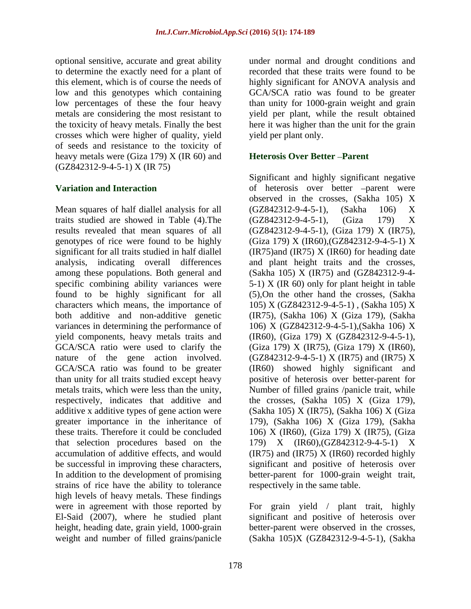optional sensitive, accurate and great ability under normal and drought conditions and to determine the exactly need for a plant of recorded that these traits were found to be this element, which is of course the needs of highly significant for ANOVA analysis and low and this genotypes which containing GCA/SCA ratio was found to be greater low percentages of these the four heavy metals are considering the most resistant to yield per plant, while the result obtained the toxicity of heavy metals. Finally the best here it washigher than the unit for the grain crosses which were higher of quality, yield of seeds and resistance to the toxicity of heavy metals were (Giza 179) X (IR 60) and (GZ842312-9-4-5-1) X (IR 75)

Mean squares of half diallel analysis for all (GZ842312-9-4-5-1), (Sakha 106) X traits studied are showed in Table (4). The (GZ842312-9-4-5-1), (Giza 179) X results revealed that mean squares of all (GZ842312-9-4-5-1), (Giza 179) X (IR75), genotypes of rice were found to be highly  $(Giza 179) X (IR60)$ ,  $(GZ842312-9-4-5-1) X$ significant for all traits studied in half diallel (IR75) and (IR75) X (IR60) for heading date analysis, indicating overall differences and plant height traits and the crosses, among these populations. Both general and (Sakha 105) X (IR75) and (GZ842312-9-4 specific combining ability variances were 5-1) X (IR 60) only for plant height in table found to be highly significant for all characters which means, the importance of 105) X (GZ842312-9-4-5-1) , (Sakha 105) X both additive and non-additive genetic (IR75), (Sakha 106) X (Giza 179), (Sakha variances in determining the performance of 106) X (GZ842312-9-4-5-1),(Sakha 106) X yield components, heavy metals traits and (IR60), (Giza 179) X (GZ842312-9-4-5-1), GCA/SCA ratio were used to clarify the  $(Giza 179) X (IR75)$ ,  $(Giza 179) X (IR60)$ , nature of the gene action involved.  $(GZ842312-9-4-5-1)$  X (IR75) and (IR75) X GCA/SCA ratio was found to be greater (IR60) showed highly significant and than unity for all traits studied except heavy positive of heterosis over better-parent for metals traits, which were less than the unity, Number of filled grains /panicle trait, while respectively, indicates that additive and the crosses, (Sakha 105) X (Giza 179), additive x additive types of gene action were (Sakha 105) X (IR75), (Sakha 106) X (Giza greater importance in the inheritance of 179), (Sakha 106) X (Giza 179), (Sakha these traits. Therefore it could be concluded 106) X (IR60), (Giza 179) X (IR75), (Giza that selection procedures based on the 179) X (IR60),(GZ842312-9-4-5-1) X accumulation of additive effects, and would (IR75) and (IR75) X (IR60) recorded highly be successful in improving these characters, significant and positive of heterosis over In addition to the development of promising better-parent for 1000-grain weight trait, strains of rice have the ability to tolerance high levels of heavy metals. These findings were in agreement with those reported by El-Said (2007), where he studied plant significant and positive of heterosis over height, heading date, grain yield, 1000-grain weight and number of filled grains/panicle

than unity for 1000-grain weight and grain yield per plant only.

## **Heterosis Over Better - Parent**

**Variation and Interaction** of heterosis over better -parent were Significant and highly significant negative observed in the crosses, (Sakha 105) X (GZ842312-9-4-5-1), (Sakha 106) X (GZ842312-9-4-5-1), (Giza 179) X (GZ842312-9-4-5-1), (Giza 179) <sup>X</sup> (IR75), (Giza 179) <sup>X</sup> (IR60),(GZ842312-9-4-5-1) <sup>X</sup> (5),On the other hand the crosses, (Sakha respectively in the same table.

> For grain yield / plant trait, highly better-parent were observed in the crosses, (Sakha 105)X (GZ842312-9-4-5-1), (Sakha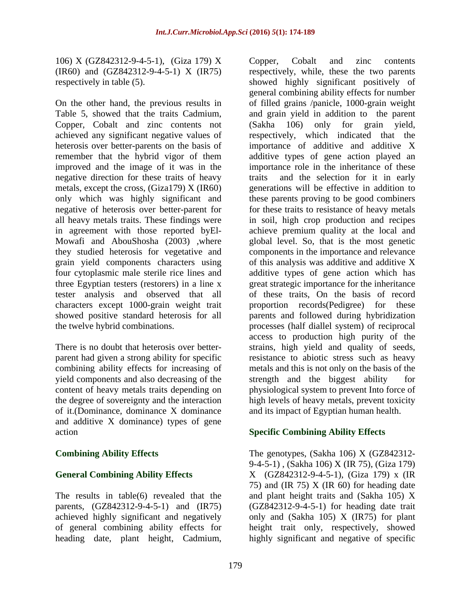106) X (GZ842312-9-4-5-1), (Giza 179) X

On the other hand, the previous results in negative direction for these traits of heavy tester analysis and observed that all

parent had given a strong ability for specific yield components and also decreasing of the strength and the biggest ability for of it.(Dominance, dominance X dominance and additive X dominance) types of gene action **Specific Combining Ability Effects**

(IR60) and (GZ842312-9-4-5-1) X (IR75) respectively, while, these the two parents respectively in table (5). showed highly significant positively of Table 5, showed that the traits Cadmium, and grain yield in addition to the parent Copper, Cobalt and zinc contents not (Sakha 106) only for grain yield, achieved any significant negative values of respectively, which indicated that the heterosis over better-parents on the basis of importance of additive and additive X remember that the hybrid vigor of them additive types of gene action played an improved and the image of it was in the importance role in the inheritance of these metals, except the cross, (Giza179) X (IR60) generations will be effective in addition to only which was highly significant and these parents proving to be good combiners negative of heterosis over better-parent for for these traits to resistance of heavy metals all heavy metals traits. These findings were in soil, high crop production and recipes in agreement with those reported byEl- achieve premium quality at the local and Mowafi and AbouShosha (2003) ,where global level. So, that is the most genetic they studied heterosis for vegetative and components in the importance and relevance grain yield components characters using of this analysis was additive and additive X four cytoplasmic male sterile rice lines and additive types of gene action which has three Egyptian testers (restorers) in a line x great strategic importance for the inheritance characters except 1000-grain weight trait proportion records(Pedigree) for these showed positive standard heterosis for all parents and followed during hybridization the twelve hybrid combinations. processes (half diallel system) of reciprocal There is no doubt that heterosis over better- strains, high yield and quality of seeds, combining ability effects for increasing of metals and this is not only on the basis of the content of heavy metals traits depending on physiological system to prevent Into force of the degree of sovereignty and the interaction high levels of heavy metals, prevent toxicity hfo,  $\sqrt{(7.494331 \times 394 \times 451})$ ,  $\sqrt{(7.694 \times 1034 \times 151})$ ,  $\sqrt{(7.694 \times 1034 \times 1034 \times 1034 \times 1034 \times 1034 \times 1034 \times 1034 \times 1034 \times 1034 \times 1034 \times 1034 \times 1034 \times 1034 \times 1034 \times 1034 \times 1034 \times 1034 \times 1034 \times 1034 \times 1034 \times 1034 \times 103$ general combining ability effects for number of filled grains /panicle, 1000-grain weight and the selection for it in early of these traits, On the basis of record access to production high purity of the resistance to abiotic stress such as heavy strength and the biggest ability and its impact of Egyptian human health.

**Combining Ability Effects** The genotypes, (Sakha 106) X (GZ842312-**General Combining Ability Effects** X (GZ842312-9-4-5-1), (Giza 179) x (IR The results in table(6) revealed that the and plant height traits and (Sakha 105) X parents, (GZ842312-9-4-5-1) and (IR75) (GZ842312-9-4-5-1) for heading date trait achieved highly significant and negatively only and (Sakha 105) X (IR75) for plant of general combining ability effects for height trait only, respectively, showed 9-4-5-1) , (Sakha 106) X (IR 75), (Giza 179) 75) and (IR 75)  $X$  (IR 60) for heading date highly significant and negative of specific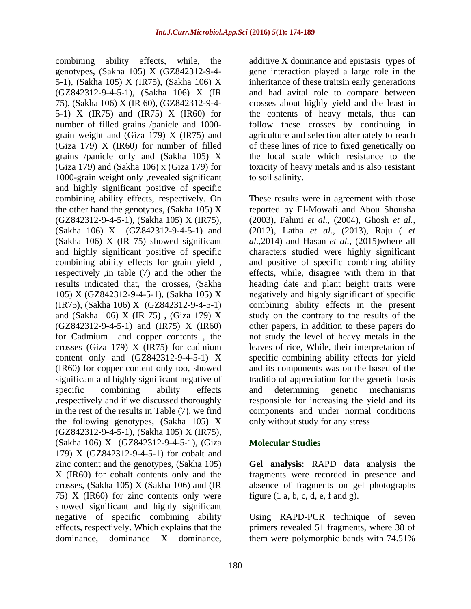genotypes, (Sakha 105) X (GZ842312-9-4- gene interaction played a large role in the 5-1), (Sakha 105) X (IR75), (Sakha 106) X (GZ842312-9-4-5-1), (Sakha 106) X (IR and had avital role to compare between 75), (Sakha 106) X (IR 60), (GZ842312-9-4- crosses about highly yield and the least in 5-1) X (IR75) and (IR75) X (IR60) for the contents of heavy metals, thus can number of filled grains /panicle and 1000- follow these crosses by continuing in grain weight and (Giza 179) X (IR75) and agriculture and selection alternately to reach (Giza 179) X (IR60) for number of filled of these lines of rice to fixed genetically on grains /panicle only and (Sakha 105) X (Giza 179) and (Sakha 106) x (Giza 179) for toxicity of heavy metals and is also resistant 1000-grain weight only , revealed significant to soil salinity. and highly significant positive of specific crosses (Giza 179) X (IR75) for cadmium the following genotypes, (Sakha 105) X (GZ842312-9-4-5-1), (Sakha 105) X (IR75), (Sakha 106) X (GZ842312-9-4-5-1), (Giza 179) X (GZ842312-9-4-5-1) for cobalt and zinc content and the genotypes, (Sakha 105) **Gel analysis**: RAPD data analysis the X (IR60) for cobalt contents only and the fragments were recorded in presence and crosses, (Sakha 105) X (Sakha 106) and (IR absence of fragments on gel photographs 75) X (IR60) for zinc contents only were showed significant and highly significant negative of specific combining ability Using RAPD-PCR technique of seven effects, respectively. Which explains that the dominance. dominance X dominance.

combining ability effects, while, the additive X dominance and epistasis types of inheritance of these traitsin early generations the local scale which resistance to the to soil salinity.

combining ability effects, respectively. On These results were in agreement with those the other hand the genotypes, (Sakha 105) X reported by El-Mowafi and Abou Shousha (GZ842312-9-4-5-1), (Sakha 105) X (IR75), (2003), Fahmi *et al.,* (2004), Ghosh *et al.,* (Sakha 106) X (GZ842312-9-4-5-1) and (2012), Latha *et al.,* (2013), Raju ( *et* (Sakha 106) X (IR 75) showed significant *al.,*2014) and Hasan *et al.,* (2015)where all and highly significant positive of specific characters studied were highly significant combining ability effects for grain yield, and positive of specific combining ability respectively ,in table (7) and the other the effects, while, disagree with them in that results indicated that, the crosses, (Sakha heading date and plant height traits were 105) X (GZ842312-9-4-5-1), (Sakha 105) X negatively and highly significant of specific (IR75), (Sakha 106) X (GZ842312-9-4-5-1) combining ability effects in the present and (Sakha 106) X (IR 75) , (Giza 179) X study on the contrary to the results of the (GZ842312-9-4-5-1) and (IR75) X (IR60) other papers, in addition to these papers do for Cadmium and copper contents , the not study the level of heavy metals in the content only and (GZ842312-9-4-5-1) X specific combining ability effects for yield (IR60) for copper content only too, showed and its components was on the based of the significant and highly significant negative of traditional appreciation for the genetic basis specific combining ability effects and determining genetic mechanisms ,respectively and if we discussed thoroughly responsible for increasing the yield and its in the rest of the results in Table (7), we find components and under normal conditions leaves of rice, While, their interpretation of and determining genetic mechanisms only without study for any stress

## **Molecular Studies**

figure  $(1 \text{ a}, \text{ b}, \text{ c}, \text{ d}, \text{ e}, \text{ f} \text{ and } \text{ g})$ .

dominance, dominance X dominance, them were polymorphic bands with 74.51%primers revealed 51 fragments, where 38 of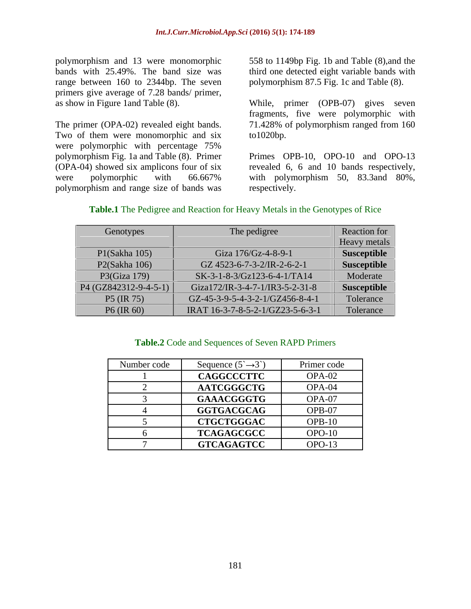polymorphism and 13 were monomorphic range between 160 to 2344bp. The seven primers give average of 7.28 bands/ primer,

Two of them were monomorphic and six to 1020bp. were polymorphic with percentage 75% polymorphism and range size of bands was

bands with 25.49%. The band size was third one detected eight variable bands with 558 to 1149bp Fig. 1b and Table (8),and the polymorphism 87.5 Fig. 1c and Table (8).

as show in Figure 1and Table (8). While, primer (OPB-07) gives seven The primer (OPA-02) revealed eight bands. 71.428% of polymorphism ranged from 160 fragments, five were polymorphic with to1020bp.

polymorphism Fig. 1a and Table (8). Primer Primes OPB-10, OPO-10 and OPO-13 (OPA-04) showed six amplicons four of six revealed 6, 6 and 10 bands respectively, were polymorphic with 66.667% with polymorphism 50, 83.3and 80%, respectively.

| Genotypes               | The pedigree                     | Reaction for |
|-------------------------|----------------------------------|--------------|
|                         |                                  | Heavy metals |
| P1(Sakha 105)           | Giza 176/Gz-4-8-9-1              | Susceptible  |
| P2(Sakha 106)           | GZ 4523-6-7-3-2/IR-2-6-2-1       | Susceptible  |
| P3 $(Giza 179)$         | $SK-3-1-8-3/Gz123-6-4-1/TA14$    | Moderate     |
| $P4 (GZ842312-9-4-5-1)$ | Giza172/IR-3-4-7-1/IR3-5-2-31-8  | Susceptible  |
| P5 (IR 75)              | GZ-45-3-9-5-4-3-2-1/GZ456-8-4-1  | Tolerance    |
| P6 (IR 60)              | IRAT 16-3-7-8-5-2-1/GZ23-5-6-3-1 | Tolerance    |

## **Table.1** The Pedigree and Reaction for Heavy Metals in the Genotypes of Rice

## **Table.2** Code and Sequences of Seven RAPD Primers

| Number code | Sequence $(5^{\sim} \rightarrow 3^{\sim})$ | Primer code |
|-------------|--------------------------------------------|-------------|
|             | <b>CAGGCCCTTC</b>                          | OPA-02      |
|             | <b>AATCGGGCTG</b>                          | OPA-04      |
|             | GAAACGGGTG                                 | OPA-07      |
|             | <b>GGTGACGCAG</b>                          | OPB-07      |
|             | <b>CTGCTGGGAC</b>                          | $OPB-10$    |
|             | <b>TCAGAGCGCC</b>                          | $OPO-10$    |
|             | <b>GTCAGAGTCC</b>                          | $OPO-13$    |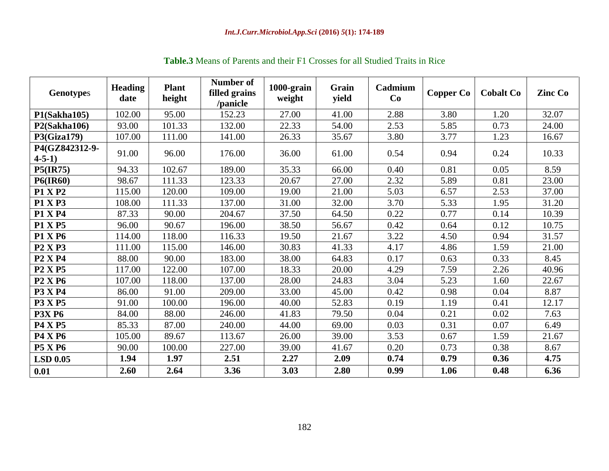| Genotypes                      | <b>Heading</b><br>date | <b>Plant</b><br>height | Number of<br>filled grains<br>/panicle | 1000-grain<br>weight | Grain<br>yield | Cadmium<br>Co | Copper Co   Cobalt Co |      | <b>Zinc Co</b> |
|--------------------------------|------------------------|------------------------|----------------------------------------|----------------------|----------------|---------------|-----------------------|------|----------------|
| P1(Sakha105)                   | 102.00                 | 95.00                  | 152.23                                 | 27.00                | 41.00          | 2.88          | 3.80                  | 1.20 | 32.07          |
| P2(Sakha106)                   | 93.00                  | 101.33                 | 132.00                                 | 22.33                | 54.00          | 2.53          | 5.85                  | 0.73 | 24.00          |
| <b>P3(Giza179)</b>             | 107.00                 | 111.00                 | 141.00                                 | 26.33                | 35.67          | 3.80          | 3.77                  | 1.23 | 16.67          |
| P4(GZ842312-9-<br>$4 - 5 - 1$  | 91.00                  | 96.00                  | 176.00                                 | 36.00                | 61.00          | 0.54          | 0.94                  | 0.24 | 10.33          |
| <b>P5(IR75)</b>                | 94.33                  | 102.67                 | 189.00                                 | 35.33                | 66.00          | 0.40          | 0.81                  | 0.05 | 8.59           |
| <b>P6(IR60)</b>                | 98.67                  | 111.33                 | 123.33                                 | 20.67                | 27.00          | 2.32          | 5.89                  | 0.81 | 23.00          |
| <b>P1 X P2</b>                 | 115.00                 | 120.00                 | 109.00                                 | 19.00                | 21.00          | 5.03          | 6.57                  | 2.53 | 37.00          |
| <b>P1 X P3</b>                 | 108.00                 | 111.33                 | 137.00                                 | 31.00                | 32.00          | 3.70          | 5.33                  | 1.95 | 31.20          |
| <b>P1 X P4</b>                 | 87.33                  | 90.00                  | 204.67                                 | 37.50                | 64.50          | 0.22          | 0.77                  | 0.14 | 10.39          |
| <b>P1 X P5</b>                 | 96.00                  | 90.67                  | 196.00                                 | 38.50                | 56.67          | 0.42          | 0.64                  | 0.12 | 10.75          |
| <b>P1 X P6</b>                 | 114.00                 | 118.00                 | 116.33                                 | 19.50                | 21.67          | 3.22          | 4.50                  | 0.94 | 31.57          |
| <b>P2 X P3</b>                 | 111.00                 | 115.00                 | 146.00                                 | 30.83                | 41.33          | 4.17          | 4.86                  | 1.59 | 21.00          |
| <b>P2 X P4</b>                 | 88.00                  | 90.00                  | 183.00                                 | 38.00                | 64.83          | 0.17          | 0.63                  | 0.33 | 8.45           |
| <b>P2 X P5</b>                 | 117.00                 | 122.00                 | 107.00                                 | 18.33                | 20.00          | 4.29          | 7.59                  | 2.26 | 40.96          |
| P <sub>2</sub> X <sub>P6</sub> | 107.00                 | 118.00                 | 137.00                                 | 28.00                | 24.83          | 3.04          | 5.23                  | 1.60 | 22.67          |
| <b>P3 X P4</b>                 | 86.00                  | 91.00                  | 209.00                                 | 33.00                | 45.00          | 0.42          | 0.98                  | 0.04 | 8.87           |
| <b>P3 X P5</b>                 | 91.00                  | 100.00                 | 196.00                                 | 40.00                | 52.83          | 0.19          | 1.19                  | 0.41 | 12.17          |
| <b>P3X P6</b>                  | 84.00                  | 88.00                  | 246.00                                 | 41.83                | 79.50          | 0.04          | 0.21                  | 0.02 | 7.63           |
| <b>P4 X P5</b>                 | 85.33                  | 87.00                  | 240.00                                 | 44.00                | 69.00          | 0.03          | 0.31                  | 0.07 | 6.49           |
| <b>P4 X P6</b>                 | 105.00                 | 89.67                  | 113.67                                 | 26.00                | 39.00          | 3.53          | 0.67                  | 1.59 | 21.67          |
| <b>P5 X P6</b>                 | 90.00                  | 100.00                 | 227.00                                 | 39.00                | 41.67          | 0.20          | 0.73                  | 0.38 | 8.67           |
| <b>LSD 0.05</b>                | 1.94                   | 1.97                   | 2.51                                   | 2.27                 | 2.09           | 0.74          | 0.79                  | 0.36 | 4.75           |
| 0.01                           | 2.60                   | 2.64                   | 3.36                                   | 3.03                 | 2.80           | 0.99          | 1.06                  | 0.48 | 6.36           |
|                                |                        |                        |                                        |                      |                |               |                       |      |                |

# **Table.3** Means of Parents and their F1 Crosses for all Studied Traits in Rice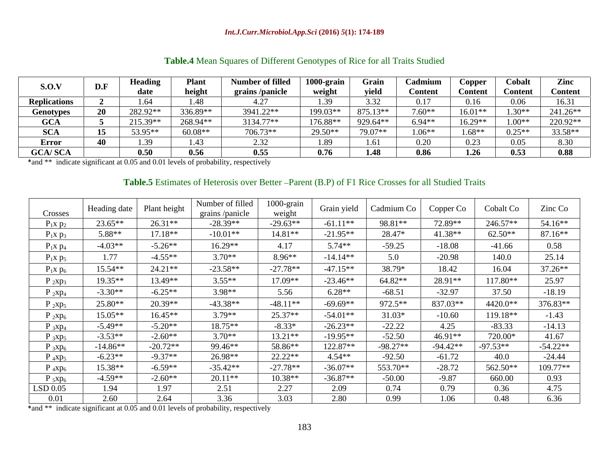### *Int.J.Curr.Microbiol.App.Sci* **(2016)** *5***(1): 174-189**

|                     |                |          |                            |                        | __           |          |          |                    |                     |                |
|---------------------|----------------|----------|----------------------------|------------------------|--------------|----------|----------|--------------------|---------------------|----------------|
| S.O.V               | D.F            | Heading  | Plan                       | <b>Number of fille</b> | 1000-grai    | Grain    | Cadmium  | Copper             | Cobal               | Zinc           |
|                     |                | date     | height                     | grains<br>/panicle     | weight       | yield    | Content  | <b>Content</b>     | Conten <sup>*</sup> | <b>Content</b> |
| <b>Replications</b> |                | 1.64     | $\Lambda$ $\Omega$<br>$+0$ |                        | 1.J <i>.</i> | ، ب      | 0.17     | 0.16               | U.UO                | 16.31          |
| <b>Genotypes</b>    | $\Delta$<br>4V | 282.92** | 336.89**                   | 3941.22**              | 199.03**     | 875.13** | $7.60**$ | $16.01**$          | $30**$              | 241.26**       |
| <b>GCA</b>          |                | 215.39** | 268.94**                   | 3134.77**              | 176.88**     | 929.64*  | $6.94**$ | $16.20**$<br>10.27 | $1.00**$            | 220.92**       |
| <b>SCA</b>          | 15             | 53.95**  | $60.08**$                  | 706.73**               | 29.50**      | 79.07**  | $1.06**$ | $1.68**$           | $0.25**$            | 33.58**        |
| Error               |                | 1.39     |                            | ∟ن ک                   | 1.89         | 1.VI     | 0.20     | 0.23               | U.UJ                | 0.JU           |
| <b>GCA/SCA</b>      |                | 0.50     | በ 56<br>$\mathbf{v} \,$    | 0.55                   | 0.76         |          | 0.86     | 1.26               | 0.53                | 0.88           |

## **Table.4** Mean Squares of Different Genotypes of Rice for all Traits Studied

\*and \*\* indicate significant at 0.05 and 0.01 levels of probability, respectively

# Table.5 Estimates of Heterosis over Better - Parent (B.P) of F1 Rice Crosses for all Studied Traits

| Crosses       | Heading date   Plant height |            | Number of filled<br>grains/panicle | 1000-grain<br>weight |            | Grain yield   Cadmium Co | Copper Co | Cobalt Co  | Zinc Co    |
|---------------|-----------------------------|------------|------------------------------------|----------------------|------------|--------------------------|-----------|------------|------------|
| $P_1x p_2$    | $23.65**$                   | $26.31**$  | $-28.39**$                         | $-29.63**$           | $-61.11**$ | 98.81**                  | 72.89**   | 246.57**   | 54.16**    |
| $P_1x p_3$    | 5.88**                      | $17.18**$  | $-10.01**$                         | $14.81**$            | $-21.95**$ | 28.47*                   | 41.38**   | $62.50**$  | $87.16**$  |
| $P_1x p_4$    | $-4.03**$                   | $-5.26**$  | $16.29**$                          | 4.17                 | $5.74**$   | $-59.25$                 | $-18.08$  | $-41.66$   | 0.58       |
| $P_1x p_5$    | 1.77                        | $-4.55**$  | $3.70**$                           | $8.96**$             | $-14.14**$ | 5.0                      | $-20.98$  | 140.0      | 25.14      |
| $P_1x p_6$    | 15.54**                     | $24.21**$  | $-23.58**$                         | $-27.78**$           | $-47.15**$ | 38.79*                   | 18.42     | 16.04      | $37.26**$  |
| $P_{2}xp_{3}$ | 19.35**                     | 13.49**    | $3.55**$                           | 17.09**              | $-23.46**$ | $64.82**$                | 28.91**   | 117.80**   | 25.97      |
| $P_{2}xp_{4}$ | $-3.30**$                   | $-6.25**$  | $3.98**$                           | 5.56                 | $6.28**$   | $-68.51$                 | $-32.97$  | 37.50      | $-18.19$   |
| $P_{2}xp_{5}$ | 25.80**                     | 20.39**    | $-43.38**$                         | $-48.11**$           | $-69.69**$ | 972.5**                  | 837.03**  | 4420.0**   | 376.83**   |
| $P_{2}xp_{6}$ | 15.05**                     | $16.45**$  | $3.79**$                           | $25.37**$            | $-54.01**$ | $31.03*$                 | $-10.60$  | 119.18**   | $-1.43$    |
| $P_{3}xp_{4}$ | $-5.49**$                   | $-5.20**$  | $18.75**$                          | $-8.33*$             | $-26.23**$ | $-22.22$                 | 4.25      | $-83.33$   | $-14.13$   |
| $P_{3}xp_{5}$ | $-3.53**$                   | $-2.60**$  | $3.70**$                           | 13.21**              | $-19.95**$ | $-52.50$                 | 46.91**   | 720.00*    | 41.67      |
| $P_{3}xp_{6}$ | $-14.86**$                  | $-20.72**$ | 99.46**                            | 58.86**              | 122.87**   | $-98.27**$               | -94.42**  | $-97.53**$ | $-54.22**$ |
| $P_4xp_5$     | $-6.23**$                   | $-9.37**$  | 26.98**                            | $22.22**$            | $4.54**$   | $-92.50$                 | $-61.72$  | 40.0       | $-24.44$   |
| $P_{4}xp_{6}$ | 15.38**                     | $-6.59**$  | $-35.42**$                         | $-27.78**$           | $-36.07**$ | 553.70**                 | $-28.72$  | 562.50**   | $109.77**$ |
| $P_{5}xp_{6}$ | $-4.59**$                   | $-2.60**$  | $20.11**$                          | $10.38**$            | $-36.87**$ | $-50.00$                 | $-9.87$   | 660.00     | 0.93       |
| LSD 0.05      | 1.94                        | 1.97       | 2.51                               | 2.27                 | 2.09       | 0.74                     | 0.79      | 0.36       | 4.75       |
| 0.01          | 2.60                        | 2.64       | 3.36                               | 3.03                 | 2.80       | 0.99                     | 1.06      | 0.48       | 6.36       |

\*and \*\* indicate significant at 0.05 and 0.01 levels of probability, respectively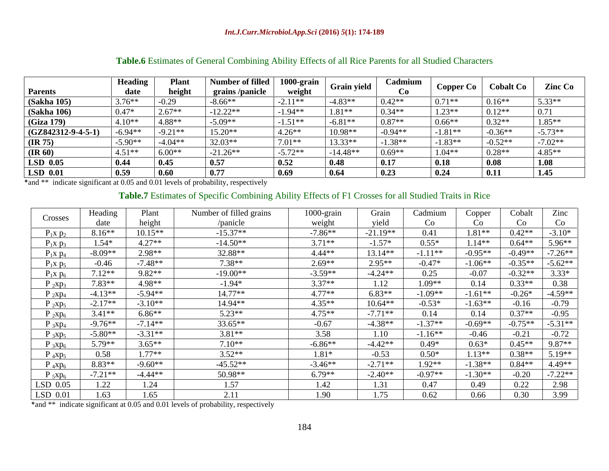|                      | <b>Heading</b> | Plan      | Number of filled       | $1000$ -grain | <b>Grain yield</b> | Cadmium   |                  | Cobalt Co                    | <b>Zinc Co</b> |
|----------------------|----------------|-----------|------------------------|---------------|--------------------|-----------|------------------|------------------------------|----------------|
| <b>Parents</b>       | date           | heigh     | <b>grains</b> /panicle | weigh         |                    |           | <b>Copper Co</b> |                              |                |
| <b>(Sakha 105)</b>   | $3.76**$       | 0.29      | $-8.66**$              | $-2.11**$     | $-4.83**$          | $0.42**$  | $0.71**$         | $0.16**$                     | $5.33**$       |
| (Sakha 106)          | $0.47*$        | $2.67**$  | $-12.22**$             | $-1.94**$     | $1.81**$           | $0.34**$  | $1.23**$         | $0.12**$                     |                |
| (Giza 179)           | $14.10*$       | 4.88**    | $-5.09*$               | $-1.51**$     | $-6.81**$          | $0.87**$  | $0.66**$         | $ 0.32** $                   | $1.85**$       |
| $(GZ842312-9-4-5-1)$ | $-6.94**$      | $-9.21**$ | $15.20**$              | $4.26**$      | $10.98**$          | $-0.94**$ | $-1.81**$        | $-0.36**$                    | $-5.73**$      |
| (IR 75)              | $-5.90**$      | $-4.04**$ | $32.03**$              | $7.01**$      | $13.33**$          | $-1.38**$ | $-1.83**$        | $-0.52**$                    | $-7.02**$      |
| $(\mathbf{IR} 60)$   | $14.51**$      | $6.00**$  | $-21.26**$             | $-5.72**$     | $-14.48**$         | $0.69**$  | $1.04**$         | $0.28**$                     | $4.85**$       |
| LSD 0.05             | 0.44           | 0.45      | 0.57                   | 0.52          | 0.48               | 0.17      | 0.18             | $\overline{\phantom{0}0.08}$ | 1.08           |
| LSD 0.01             | 0.59           | 0.60      | 0.77                   | 0.69          | 0.64               | 0.23      | 0.24             | 0.11                         | 1.45           |

## **Table.6** Estimates of General Combining Ability Effects of all Rice Parents for all Studied Characters

\*and \*\* indicate significant at 0.05 and 0.01 levels of probability, respectively

# **Table.7** Estimates of Specific Combining Ability Effects of F1 Crosses for all Studied Traits in Rice

| Crosses       | Heading   | Plant     | Number of filled grains | 1000-grain | Grain      | Cadmium   | Copper    | Cobalt    | Zinc      |
|---------------|-----------|-----------|-------------------------|------------|------------|-----------|-----------|-----------|-----------|
|               | date      | height    | /panicle                | weight     | yield      | Co        | Co -      |           | CO.       |
| $P_1x p_2$    | $8.16**$  | $10.15**$ | $-15.37**$              | $-7.86**$  | $-21.19**$ | 0.41      | $1.81**$  | $0.42**$  | $-3.10*$  |
| $P_1x p_3$    | $1.54*$   | $4.27**$  | $-14.50**$              | $3.71**$   | $-1.57*$   | $0.55*$   | $1.14**$  | $0.64**$  | 5.96**    |
| $P_1x p_4$    | $-8.09**$ | 2.98**    | 32.88**                 | 4.44**     | $13.14**$  | $-1.11**$ | $-0.95**$ | $-0.49**$ | $7.26**$  |
| $P_1x p_5$    | $-0.46$   | $-7.48**$ | $7.38**$                | $2.69**$   | $2.95**$   | $-0.47*$  | $-1.06**$ | $-0.35**$ | $-5.62**$ |
| $P_1x p_6$    | $7.12**$  | $9.82**$  | $-19.00**$              | $-3.59**$  | $-4.24**$  | 0.25      | $-0.07$   | $-0.32**$ | $3.33*$   |
| $P_{2}xp_{3}$ | $7.83**$  | $4.98**$  | $-1.94*$                | $3.37**$   | 1.12       | $1.09**$  | 0.14      | $0.33**$  | 0.38      |
| $P_{2}xp_{4}$ | $-4.13**$ | $-5.94**$ | $14.77**$               | $4.77**$   | $6.83**$   | $-1.09**$ | $-1.61**$ | $-0.26*$  | $-4.59**$ |
| $P_{2}xp_{5}$ | $-2.17**$ | $-3.10**$ | $14.94**$               | $4.35**$   | $10.64**$  | $-0.53*$  | $-1.63**$ | $-0.16$   | $-0.79$   |
| $P_{2}xp_{6}$ | $3.41**$  | $6.86**$  | $5.23**$                | $4.75**$   | $-7.71**$  | 0.14      | 0.14      | $0.37**$  | $-0.95$   |
| $P_{3}xp_{4}$ | $-9.76**$ | $-7.14**$ | $33.65**$               | $-0.67$    | $-4.38**$  | $-1.37**$ | $-0.69**$ | $-0.75**$ | $5.31**$  |
| $P_{3}xp_{5}$ | $-5.80**$ | $-3.31**$ | $3.81**$                | 3.58       | 1.10       | $-1.16**$ | $-0.46$   | $-0.21$   | $-0.72$   |
| $P_{3}xp_{6}$ | 5.79**    | $3.65**$  | $7.10**$                | $-6.86**$  | $-4.42**$  | $0.49*$   | $0.63*$   | $0.45**$  | 9.87**    |
| $P_4xp_5$     | 0.58      | $1.77**$  | $3.52**$                | $1.81*$    | $-0.53$    | $0.50*$   | $1.13**$  | $0.38**$  | $5.19**$  |
| $P_4xp_6$     | 8.83**    | $-9.60**$ | $-45.52**$              | $-3.46**$  | $-2.71**$  | $1.92**$  | $-1.38**$ | $0.84**$  | $4.49**$  |
| $P_{5}xp_{6}$ | $-7.21**$ | -4.44**   | 50.98**                 | $6.79**$   | $-2.40**$  | $-0.97**$ | $-1.30**$ | $-0.20$   | $7.22**$  |
| LSD 0.05      | 1.22      | L.∠4      | 1.57                    | 1.42       |            | 0.47      | 0.49      | 0.22      | 2.98      |
| $LSD$ 0.01    | 1.63      | .65       | 2.11                    | 1.90       |            | 0.62      | 0.66      | 0.30      | 3.99      |

\*and \*\* indicate significant at 0.05 and 0.01 levels of probability, respectively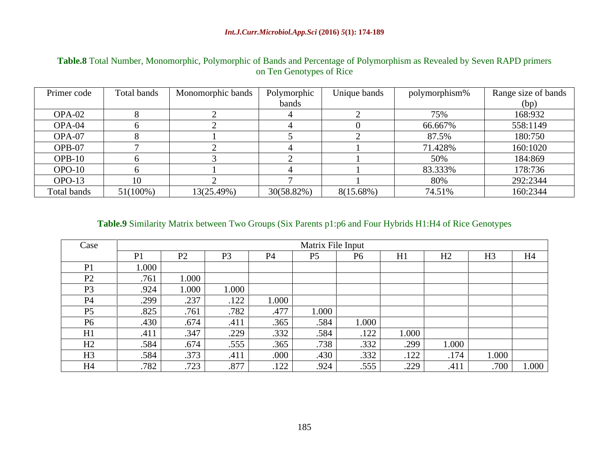| Primer code | Total bands | Monomorphic bands Polymorphic |            | Unique bands | polymorphism% | Range size of bands |
|-------------|-------------|-------------------------------|------------|--------------|---------------|---------------------|
|             |             |                               | band       |              |               |                     |
| OPA-02      |             |                               |            |              | 75%           | 168:932             |
| $OPA-04$    |             |                               |            |              | 66.6679       | 558:1149            |
| OPA-07      |             |                               |            |              | 87.5%         | 180:750             |
| $OPB-0$     |             |                               |            |              | 71.428%       | 160:1020            |
| $OPB-10$    |             |                               |            |              | 50%           | 184:869             |
| $OPO-10$    |             |                               |            |              | 83.333%       | 178:736             |
| $OPO-13$    |             |                               |            |              |               | 292:2344            |
| Total bands | $51(100\%)$ | 13(25.49%)                    | 30(58.82%) | 8(15.68%)    | 74.51%        | 160:2344            |

## **Table.8** Total Number, Monomorphic, Polymorphic of Bands and Percentage of Polymorphism as Revealed by Seven RAPD primers on Ten Genotypes of Rice

### **Table.9** Similarity Matrix between Two Groups (Six Parents p1:p6 and Four Hybrids H1:H4 of Rice Genotypes

| Case   |       |                  |       |                                | Matrix File Input |       |       |               |                |       |
|--------|-------|------------------|-------|--------------------------------|-------------------|-------|-------|---------------|----------------|-------|
|        |       | $\mathbf{D}$     |       |                                | D5                |       | H1    | $- - -$<br>H2 | H <sub>3</sub> | T T 4 |
|        | 1.000 |                  |       |                                |                   |       |       |               |                |       |
| $\sim$ | .761  | 1.000            |       |                                |                   |       |       |               |                |       |
|        | .924  | 1.000            | 1.000 |                                |                   |       |       |               |                |       |
|        | .299  | $\Omega$<br>.231 | .122  | 1.000                          |                   |       |       |               |                |       |
|        | 825   | .761             | .782  | .477                           | 1.000             |       |       |               |                |       |
|        | 430   | .674             | .411  | .365                           | .584              | 1.000 |       |               |                |       |
|        | 411   | .347             | .229  | .332                           | .584              | .122  | 1.000 |               |                |       |
| ┸┸┷    | .584  | .674             | .555  | .365                           | .738              | .332  | .299  | 1.000         |                |       |
|        | .584  | .373             | .411  | .000 <sup>1</sup>              | .430              | .332  | .122  | .174          | 1.000          |       |
|        | .782  | 723              | .877  | 122<br>$\perp$ $\perp$ $\perp$ | .924              | .555  | .229  | .411          | .700           | 1.000 |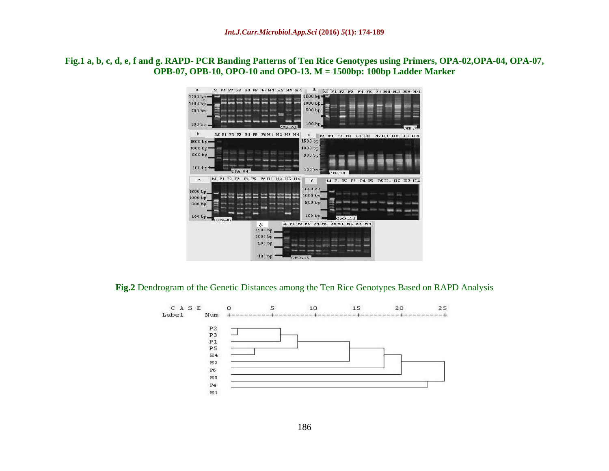### **Fig.1 a, b, c, d, e, f and g. RAPD- PCR Banding Patterns of Ten Rice Genotypes using Primers, OPA-02,OPA-04, OPA-07, OPB-07, OPB-10, OPO-10 and OPO-13. M = 1500bp: 100bp Ladder Marker**



**Fig.2** Dendrogram of the Genetic Distances among the Ten Rice Genotypes Based on RAPD Analysis

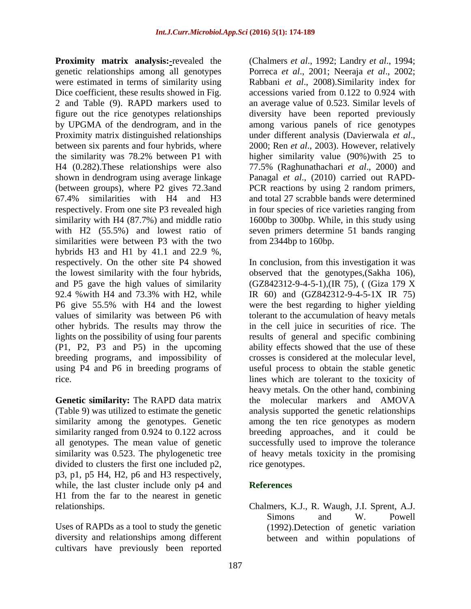**Proximity matrix analysis:-**revealed the (Chalmers *et al.*, 1992; Landry *et al.*, 1994; genetic relationships among all genotypes Porreca *et al*., 2001; Neeraja *et al*., 2002; were estimated in terms of similarity using Dice coefficient, these results showed in Fig. accessions varied from 0.122 to 0.924 with 2 and Table (9). RAPD markers used to an average value of 0.523. Similar levels of figure out the rice genotypes relationships by UPGMA of the dendrogram, and in the among various panels of rice genotypes Proximity matrix distinguished relationships under different analysis (Davierwala et al., between six parents and four hybrids, where 2000; Ren et al., 2003). However, relatively the similarity was 78.2% between P1 with higher similarity value (90%)with 25 to H4 (0.282).These relationships were also 77.5% (Raghunathachari *et al*., 2000) and shown in dendrogram using average linkage Panagal *et al*., (2010) carried out RAPD- (between groups), where P2 gives 72.3and PCR reactions by using 2 random primers, 67.4% similarities with H4 and H3 respectively. From one site P3 revealed high in four species of rice varieties ranging from similarity with H4 (87.7%) and middle ratio 1600bp to 300bp. While, in this study using with H2 (55.5%) and lowest ratio of seven primers determine 51 bands ranging similarities were between P3 with the two hybrids H3 and H1 by 41.1 and 22.9 %, respectively. On the other site P4 showed In conclusion, from this investigation it was the lowest similarity with the four hybrids, observed that the genotypes,(Sakha 106), and P5 gave the high values of similarity (GZ842312-9-4-5-1),(IR 75), ( (Giza 179 X 92.4 % with H4 and 73.3% with H2, while IR 60) and (GZ842312-9-4-5-1X IR 75) P6 give 55.5% with H4 and the lowest were the best regarding to higher yielding values of similarity was between P6 with tolerant to the accumulation of heavy metals other hybrids. The results may throw the lights on the possibility of using four parents results of general and specific combining (P1, P2, P3 and P5) in the upcoming ability effects showed that the use of these breeding programs, and impossibility of using P4 and P6 in breeding programs of useful process to obtain the stable genetic

**Genetic similarity:** The RAPD data matrix divided to clusters the first one included p2, p3, p1, p5 H4, H2, p6 and H3 respectively, while, the last cluster include only p4 and **References** H1 from the far to the nearest in genetic

Uses of RAPDs as a tool to study the genetic diversity and relationships among different cultivars have previously been reported

Rabbani *et al*., 2008).Similarity index for diversity have been reported previously under different analysis (Davierwala *et al*., 2000; Ren *et al*., 2003). However, relatively and total 27 scrabble bands were determined from 2344bp to 160bp.

rice. lines which are tolerant to the toxicity of (Table 9) was utilized to estimate the genetic analysis supported the genetic relationships similarity among the genotypes. Genetic among the ten rice genotypes as modern similarity ranged from 0.924 to 0.122 across breeding approaches, and it could be all genotypes. The mean value of genetic successfully used to improve the tolerance similarity was 0.523. The phylogenetic tree of heavy metals toxicity in the promising IR 60) and (GZ842312-9-4-5-1X IR 75) in the cell juice in securities of rice. The crosses is considered at the molecular level, heavy metals. On the other hand, combining the molecular markers and AMOVA rice genotypes.

## **References**

relationships. Chalmers, K.J., R. Waugh, J.I. Sprent, A.J. Simons and W. Powell (1992).Detection of genetic variation between and within populations of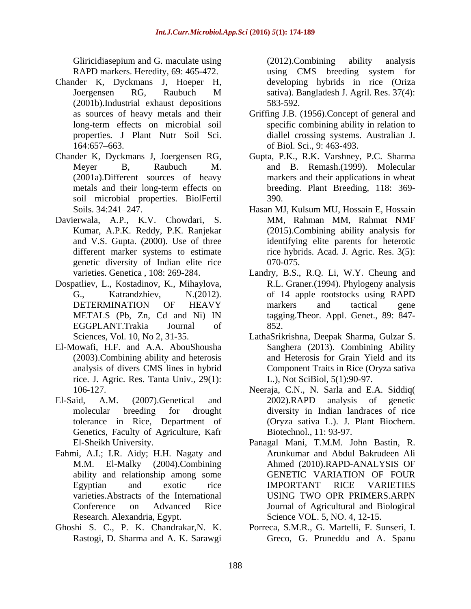Gliricidiasepium and G. maculate using (2012). Combining ability analysis RAPD markers. Heredity, 69: 465-472. using CMS breeding system for

- Chander K, Dyckmans J, Hoeper H, Joergensen RG, Raubuch M (2001b).Industrial exhaust depositions
- soil microbial properties. BiolFertil
- Davierwala, A.P., K.V. Chowdari, S. genetic diversity of Indian elite rice
- Dospatliev, L., Kostadinov, K., Mihaylova, EGGPLANT.Trakia Journal of
- El-Mowafi, H.F. and A.A. AbouShousha (2003).Combining ability and heterosis rice. J. Agric. Res. Tanta Univ., 29(1):
- Genetics, Faculty of Agriculture, Kafr
- Fahmi, A.I.; I.R. Aidy; H.H. Nagaty and Research. Alexandria, Egypt.
- Ghoshi S. C., P. K. Chandrakar,N. K.

(2012).Combining ability analysis developing hybrids in rice (Oriza sativa). Bangladesh J. Agril. Res. 37(4): 583-592.

- as sources of heavy metals and their Griffing J.B. (1956).Concept of general and long-term effects on microbial soil specific combining ability in relation to properties. J Plant Nutr Soil Sci. diallel crossing systems. Australian J. 164:657–663. of Biol. Sci., 9: 463-493. of Biol. Sci., 9: 463-493.
- Chander K, Dyckmans J, Joergensen RG, Gupta, P.K., R.K. Varshney, P.C. Sharma Meyer B, Raubuch M. and B. Remash.(1999). Molecular (2001a).Different sources of heavy markers and their applications in wheat metals and their long-term effects on breeding. Plant Breeding, 118: 369breeding. Plant Breeding, 118: 369- 390.
	- Soils. 34:241–247. 
	Hasan MJ, Kulsum MU, Hossain E, Hossain Kumar, A.P.K. Reddy, P.K. Ranjekar (2015).Combining ability analysis for and V.S. Gupta. (2000). Use of three identifying elite parents for heterotic different marker systems to estimate rice hybrids. Acad. J. Agric. Res. 3(5): MM, Rahman MM, Rahmat NMF 070-075.
	- varieties. Genetica , 108: 269-284. Landry, B.S., R.Q. Li, W.Y. Cheung and G., Katrandzhiev, N.(2012). of 14 apple rootstocks using RAPD DETERMINATION OF HEAVY markers and tactical gene METALS (Pb, Zn, Cd and Ni) IN tagging.Theor. Appl. Genet., 89: 847- R.L. Graner.(1994). Phylogeny analysis markers and tactical gene 852.
	- Sciences, Vol. 10, No 2, 31-35. LathaSrikrishna, Deepak Sharma, Gulzar S. analysis of divers CMS lines in hybrid Component Traits in Rice (Oryza sativa Sanghera (2013). Combining Ability and Heterosis for Grain Yield and its L.), Not SciBiol, 5(1):90-97.
- 106-127. Neeraja, C.N., N. Sarla and E.A. Siddiq( El-Said, A.M. (2007).Genetical and 2002).RAPD analysis of genetic molecular breeding for drought diversity in Indian landraces of rice tolerance in Rice, Department of (Oryza sativa L.). J. Plant Biochem. 2002).RAPD analysis of genetic Biotechnol., 11: 93-97.
	- El-Sheikh University. Panagal Mani, T.M.M. John Bastin, R. M.M. El-Malky (2004).Combining Ahmed (2010).RAPD-ANALYSIS OF ability and relationship among some GENETIC VARIATION OF FOUR Egyptian and exotic rice IMPORTANT RICE VARIETIES varieties.Abstracts of the International Conference on Advanced Rice Journal of Agricultural and Biological Arunkumar and Abdul Bakrudeen Ali GENETIC VARIATION OF FOUR IMPORTANT RICE VARIETIES USING TWO OPR PRIMERS.ARPN Science VOL. 5, NO. 4, 12-15.
	- Rastogi, D. Sharma and A. K. Sarawgi Greco, G. Pruneddu and A. SpanuPorreca, S.M.R., G. Martelli, F. Sunseri, I.